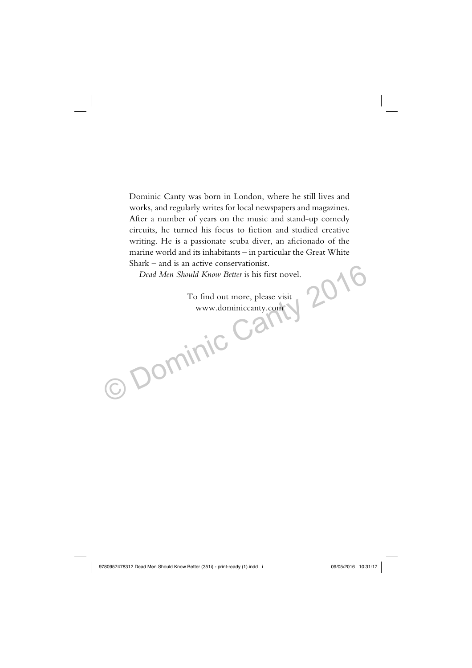Dominic Canty was born in London, where he still lives and works, and regularly writes for local newspapers and magazines. After a number of years on the music and stand-up comedy circuits, he turned his focus to fiction and studied creative writing. He is a passionate scuba diver, an aficionado of the marine world and its inhabitants – in particular the Great White Shark – and is an active conservationist.

Dead Men Should Know Better is his first novel.

To find out more, please visit www.dominiccanty.com Dead Men Should Know Better is his first novel.<br>To find out more, please visit<br>www.dominiccanty.com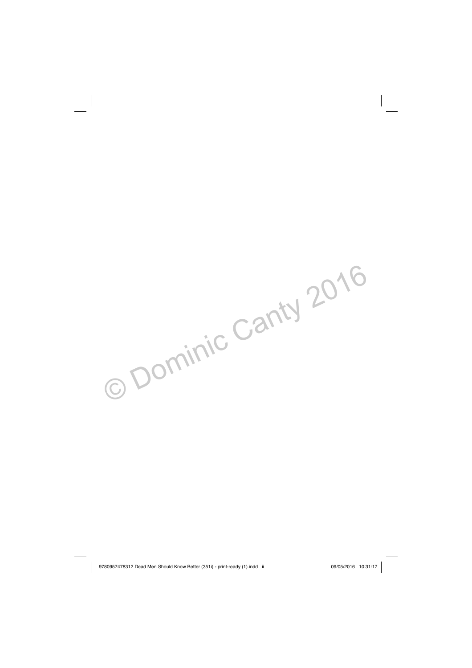© Dominic Canty 2016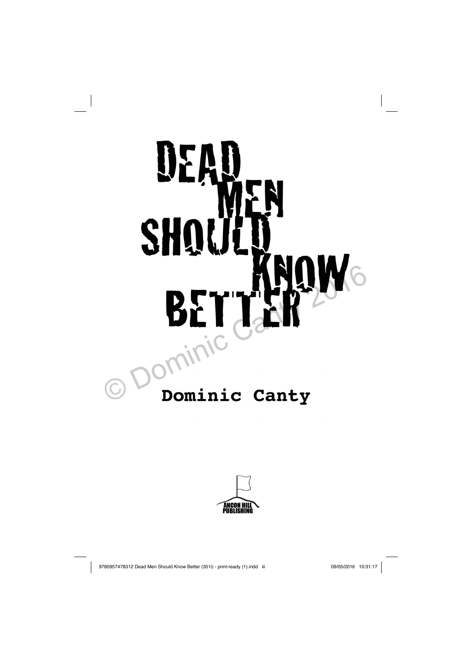# DEA SHQU **BETTER 2016**

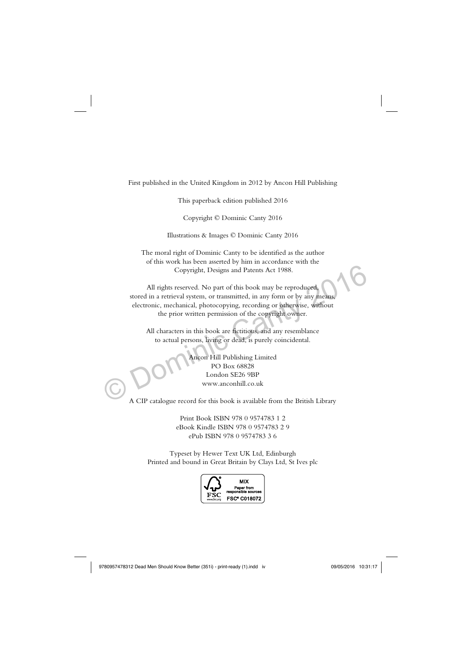First published in the United Kingdom in 2012 by Ancon Hill Publishing

This paperback edition published 2016

Copyright © Dominic Canty 2016

Illustrations & Images © Dominic Canty 2016

The moral right of Dominic Canty to be identified as the author of this work has been asserted by him in accordance with the Copyright, Designs and Patents Act 1988.

All rights reserved. No part of this book may be reproduced, stored in a retrieval system, or transmitted, in any form or by any means, electronic, mechanical, photocopying, recording or otherwise, without the prior written permission of the copyright owner. Copyright, Designs and Patents Act 1988.<br>
All rights reserved. No part of this book may be reproduced,<br>
stored in a retrieval system, or transmitted, in any form or by any means,<br>
electronic, mechanical, photocopying, reco

All characters in this book are fictitious, and any resemblance to actual persons, living or dead, is purely coincidental.

> Ancon Hill Publishing Limited PO Box 68828 London SE26 9BP www.anconhill.co.uk

A CIP catalogue record for this book is available from the British Library

Print Book ISBN 978 0 9574783 1 2 eBook Kindle ISBN 978 0 9574783 2 9 ePub ISBN 978 0 9574783 3 6

Typeset by Hewer Text UK Ltd, Edinburgh Printed and bound in Great Britain by Clays Ltd, St Ives plc

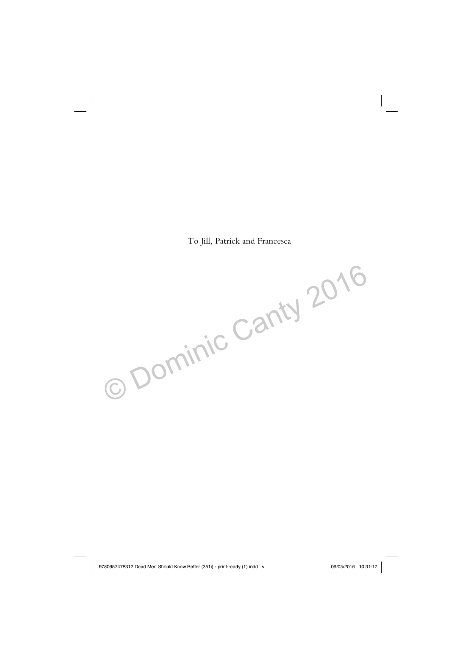To Jill, Patrick and Francesca

© Dominic Canty 2016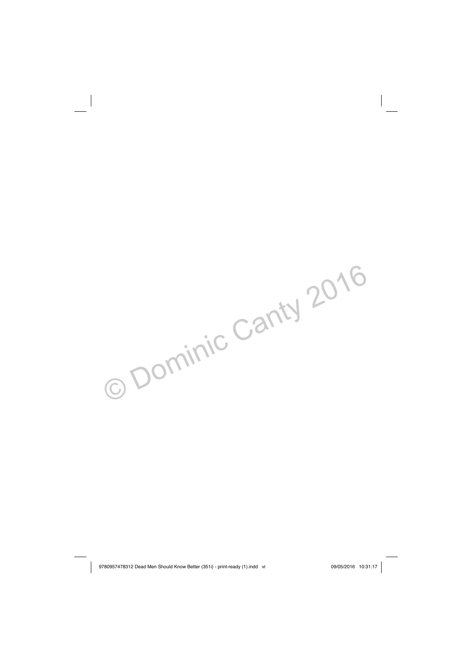© Dominic Canty 2016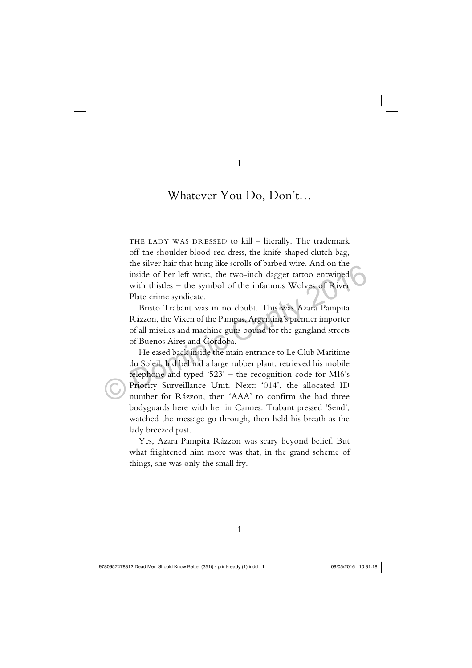# Whatever You Do, Don't…

THE LADY WAS DRESSED to kill *–* literally. The trademark off-the-shoulder blood-red dress, the knife-shaped clutch bag, the silver hair that hung like scrolls of barbed wire. And on the inside of her left wrist, the two-inch dagger tattoo entwined with thistles – the symbol of the infamous Wolves of River Plate crime syndicate.

Bristo Trabant was in no doubt. This was Azara Pampita Rázzon, the Vixen of the Pampas, Argentina's premier importer of all missiles and machine guns bound for the gangland streets of Buenos Aires and Córdoba.

He eased back inside the main entrance to Le Club Maritime du Soleil, hid behind a large rubber plant, retrieved his mobile telephone and typed '523' – the recognition code for MI6's Priority Surveillance Unit. Next: '014', the allocated ID number for Rázzon, then 'AAA' to confirm she had three bodyguards here with her in Cannes. Trabant pressed 'Send', watched the message go through, then held his breath as the lady breezed past. The sive of the left wrist, the two-inch dagger tattoo entwined<br>with thistles – the symbol of the infamous Wolves of River<br>Plate crime syndicate.<br>Bristo Trabant was in no doubt. This was Azara Pampita<br>Rázzon, the Vixen of

> Yes, Azara Pampita Rázzon was scary beyond belief. But what frightened him more was that, in the grand scheme of things, she was only the small fry.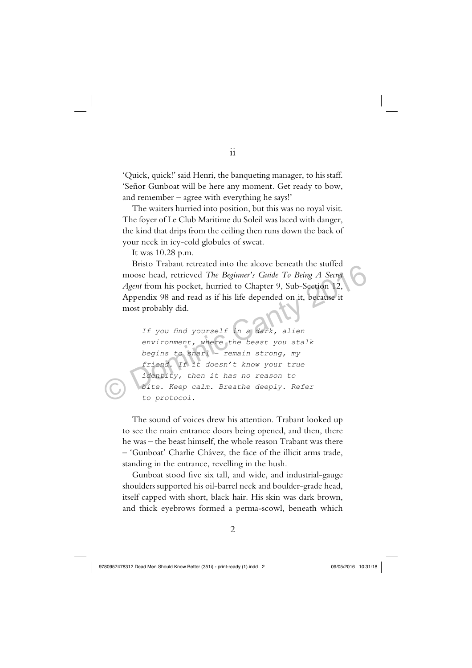'Quick, quick!' said Henri, the banqueting manager, to his staff. 'Señor Gunboat will be here any moment. Get ready to bow, and remember – agree with everything he says!'

ii

The waiters hurried into position, but this was no royal visit. The foyer of Le Club Maritime du Soleil was laced with danger, the kind that drips from the ceiling then runs down the back of your neck in icy-cold globules of sweat.

It was 10.28 p.m.

Bristo Trabant retreated into the alcove beneath the stuffed moose head, retrieved *The Beginner's Guide To Being A Secret Agent* from his pocket, hurried to Chapter 9, Sub-Section 12, Appendix 98 and read as if his life depended on it, because it most probably did.

*If you find yourself in a dark, alien environment, where the beast you stalk begins to snarl – remain strong, my friend. If it doesn't know your true identity, then it has no reason to bite. Keep calm. Breathe deeply. Refer to protocol.* Disto Trabant retreated into the arcove beneath the standed<br>moose head, retrieved *The Beginner's Guide To Being A Secret*<br>Agent from his pocket, hurried to Chapter 9, Sub-Section 12,<br>Appendix 98 and read as if his life de

The sound of voices drew his attention. Trabant looked up to see the main entrance doors being opened, and then, there he was – the beast himself, the whole reason Trabant was there – 'Gunboat' Charlie Chávez, the face of the illicit arms trade, standing in the entrance, revelling in the hush.

Gunboat stood five six tall, and wide, and industrial-gauge shoulders supported his oil-barrel neck and boulder-grade head, itself capped with short, black hair. His skin was dark brown, and thick eyebrows formed a perma-scowl, beneath which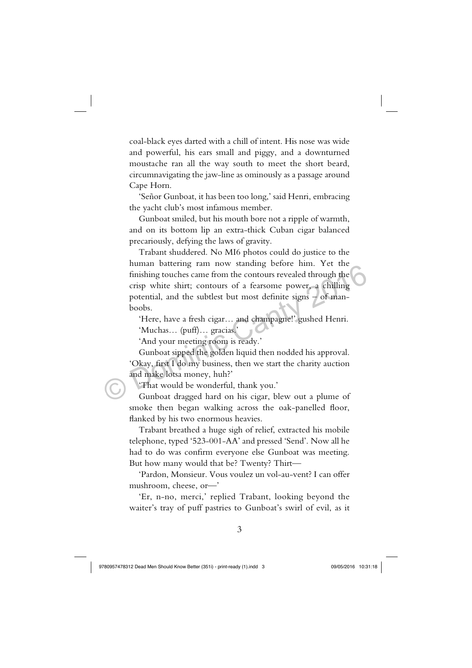coal-black eyes darted with a chill of intent. His nose was wide and powerful, his ears small and piggy, and a downturned moustache ran all the way south to meet the short beard, circumnavigating the jaw-line as ominously as a passage around Cape Horn.

'Señor Gunboat, it has been too long,' said Henri, embracing the yacht club's most infamous member.

Gunboat smiled, but his mouth bore not a ripple of warmth, and on its bottom lip an extra-thick Cuban cigar balanced precariously, defying the laws of gravity.

Trabant shuddered. No MI6 photos could do justice to the human battering ram now standing before him. Yet the finishing touches came from the contours revealed through the crisp white shirt; contours of a fearsome power, a chilling potential, and the subtlest but most definite signs  $-$  of manboobs. minal battering rain now standing before init. Tet the<br>finishing touches came from the contours revealed through the<br>crisp white shirt; contours of a fearsome power, a chilling<br>potential, and the subtlest but most definite

'Here, have a fresh cigar… and champagne!' gushed Henri.

'Muchas… (puff)… gracias.'

'And your meeting room is ready.'

Gunboat sipped the golden liquid then nodded his approval. 'Okay, first I do my business, then we start the charity auction and make lotsa money, huh?'

'That would be wonderful, thank you.'

Gunboat dragged hard on his cigar, blew out a plume of smoke then began walking across the oak-panelled floor, flanked by his two enormous heavies.

Trabant breathed a huge sigh of relief, extracted his mobile telephone, typed '523-001-AA' and pressed 'Send'. Now all he had to do was confirm everyone else Gunboat was meeting. But how many would that be? Twenty? Thirt—

'Pardon, Monsieur. Vous voulez un vol-au-vent? I can offer mushroom, cheese, or—'

'Er, n-no, merci,' replied Trabant, looking beyond the waiter's tray of puff pastries to Gunboat's swirl of evil, as it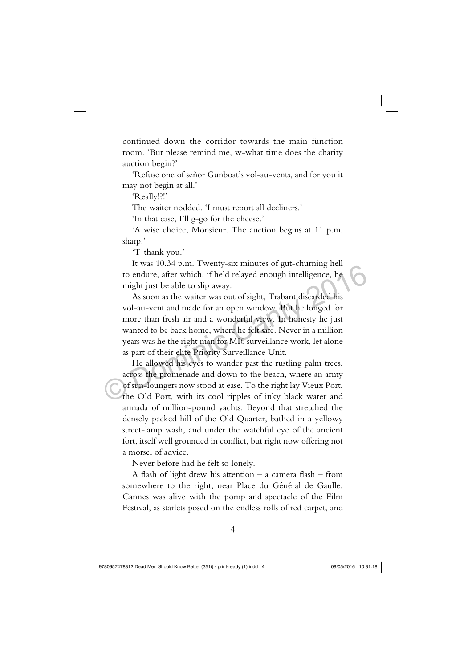continued down the corridor towards the main function room. 'But please remind me, w-what time does the charity auction begin?'

'Refuse one of señor Gunboat's vol-au-vents, and for you it may not begin at all.'

'Really!?!'

The waiter nodded. 'I must report all decliners.'

'In that case, I'll g-go for the cheese.'

'A wise choice, Monsieur. The auction begins at 11 p.m. sharp.'

'T-thank you.'

It was 10.34 p.m. Twenty-six minutes of gut-churning hell to endure, after which, if he'd relayed enough intelligence, he might just be able to slip away.

As soon as the waiter was out of sight, Trabant discarded his vol-au-vent and made for an open window. But he longed for more than fresh air and a wonderful view. In honesty he just wanted to be back home, where he felt safe. Never in a million years was he the right man for MI6 surveillance work, let alone as part of their elite Priority Surveillance Unit. It was 10.0+ p.m. I wenty-six initiates of gut-chaining nen<br>to endure, after which, if he'd relayed enough intelligence, he<br>might just be able to slip away.<br>As soon as the waiter was out of sight, Trabant discarded his<br>vol

He allowed his eyes to wander past the rustling palm trees, across the promenade and down to the beach, where an army of sun-loungers now stood at ease. To the right lay Vieux Port, the Old Port, with its cool ripples of inky black water and armada of million-pound yachts. Beyond that stretched the densely packed hill of the Old Quarter, bathed in a yellowy street-lamp wash, and under the watchful eye of the ancient fort, itself well grounded in conflict, but right now offering not a morsel of advice.

Never before had he felt so lonely.

A flash of light drew his attention – a camera flash – from somewhere to the right, near Place du Général de Gaulle. Cannes was alive with the pomp and spectacle of the Film Festival, as starlets posed on the endless rolls of red carpet, and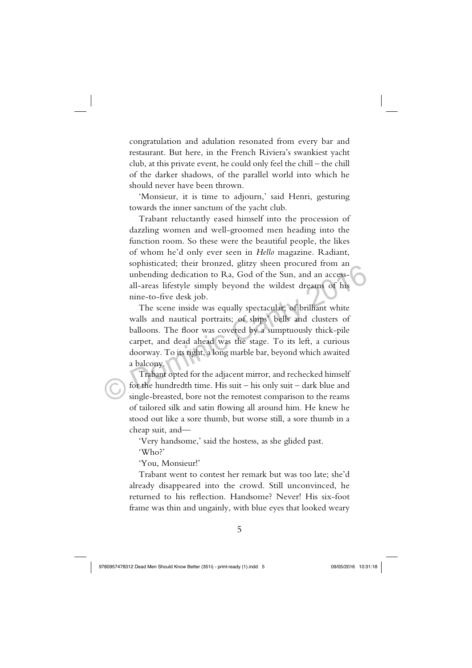congratulation and adulation resonated from every bar and restaurant. But here, in the French Riviera's swankiest yacht club, at this private event, he could only feel the chill – the chill of the darker shadows, of the parallel world into which he should never have been thrown.

'Monsieur, it is time to adjourn,' said Henri, gesturing towards the inner sanctum of the yacht club.

Trabant reluctantly eased himself into the procession of dazzling women and well-groomed men heading into the function room. So these were the beautiful people, the likes of whom he'd only ever seen in *Hello* magazine. Radiant, sophisticated; their bronzed, glitzy sheen procured from an unbending dedication to Ra, God of the Sun, and an accessall-areas lifestyle simply beyond the wildest dreams of his nine-to-five desk job.

The scene inside was equally spectacular; of brilliant white walls and nautical portraits; of ships' bells and clusters of balloons. The floor was covered by a sumptuously thick-pile carpet, and dead ahead was the stage. To its left, a curious doorway. To its right, a long marble bar, beyond which awaited a balcony. sopinisticated, then bronzed, ginzy sheen procured from an<br>unbending dedication to Ra, God of the Sun, and an access-<br>all-areas lifestyle simply beyond the wildest dreams of his<br>nine-to-five desk job.<br>The scene inside was

Trabant opted for the adjacent mirror, and rechecked himself for the hundredth time. His suit – his only suit – dark blue and single-breasted, bore not the remotest comparison to the reams of tailored silk and satin flowing all around him. He knew he stood out like a sore thumb, but worse still, a sore thumb in a cheap suit, and—

'Very handsome,' said the hostess, as she glided past.

'Who?'

'You, Monsieur!'

Trabant went to contest her remark but was too late; she'd already disappeared into the crowd. Still unconvinced, he returned to his reflection. Handsome? Never! His six-foot frame was thin and ungainly, with blue eyes that looked weary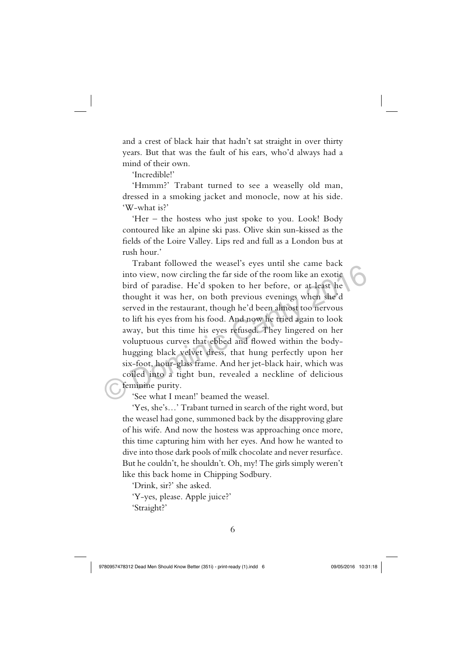and a crest of black hair that hadn't sat straight in over thirty years. But that was the fault of his ears, who'd always had a mind of their own.

'Incredible!'

'Hmmm?' Trabant turned to see a weaselly old man, dressed in a smoking jacket and monocle, now at his side. 'W-what is?'

'Her – the hostess who just spoke to you. Look! Body contoured like an alpine ski pass. Olive skin sun-kissed as the fields of the Loire Valley. Lips red and full as a London bus at rush hour.'

Trabant followed the weasel's eyes until she came back into view, now circling the far side of the room like an exotic bird of paradise. He'd spoken to her before, or at least he thought it was her, on both previous evenings when she'd served in the restaurant, though he'd been almost too nervous to lift his eyes from his food. And now he tried again to look away, but this time his eyes refused. They lingered on her voluptuous curves that ebbed and flowed within the bodyhugging black velvet dress, that hung perfectly upon her six-foot, hour-glass frame. And her jet-black hair, which was coiled into a tight bun, revealed a neckline of delicious feminine purity. Trabant followed the weaser's cycs thin she can<br>te back into view, now circling the far side of the room like an exotic<br>bird of paradise. He'd spoken to her before, or at least he<br>thought it was her, on both previous eveni

'See what I mean!' beamed the weasel.

'Yes, she's…' Trabant turned in search of the right word, but the weasel had gone, summoned back by the disapproving glare of his wife. And now the hostess was approaching once more, this time capturing him with her eyes. And how he wanted to dive into those dark pools of milk chocolate and never resurface. But he couldn't, he shouldn't. Oh, my! The girls simply weren't like this back home in Chipping Sodbury.

'Drink, sir?' she asked. 'Y-yes, please. Apple juice?' 'Straight?'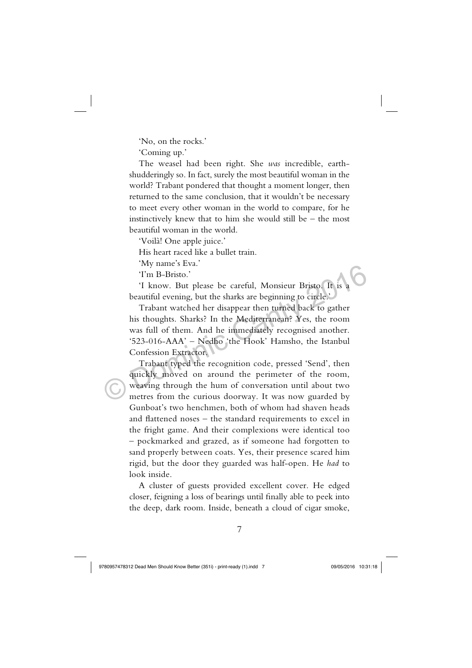'No, on the rocks.'

'Coming up.'

The weasel had been right. She *was* incredible, earthshudderingly so. In fact, surely the most beautiful woman in the world? Trabant pondered that thought a moment longer, then returned to the same conclusion, that it wouldn't be necessary to meet every other woman in the world to compare, for he instinctively knew that to him she would still be – the most beautiful woman in the world.

'Voilà! One apple juice.'

His heart raced like a bullet train.

'My name's Eva.'

'I'm B-Bristo.'

'I know. But please be careful, Monsieur Bristo. It is a beautiful evening, but the sharks are beginning to circle.'

Trabant watched her disappear then turned back to gather his thoughts. Sharks? In the Mediterranean? Yes, the room was full of them. And he immediately recognised another. '523-016-AAA' – Nedho 'the Hook' Hamsho, the Istanbul Confession Extractor. Wy hante's Eva.<br>
T'm B-Bristo.'<br>
1 know. But please be careful, Monsieur Bristo. It is a<br>
beautiful evening, but the sharks are beginning to circle.'<br>
1 rabant watched her disappear then turned back to gather<br>
his thoughts

Trabant typed the recognition code, pressed 'Send', then quickly moved on around the perimeter of the room, weaving through the hum of conversation until about two metres from the curious doorway. It was now guarded by Gunboat's two henchmen, both of whom had shaven heads and flattened noses  $-$  the standard requirements to excel in the fright game. And their complexions were identical too – pockmarked and grazed, as if someone had forgotten to sand properly between coats. Yes, their presence scared him rigid, but the door they guarded was half-open. He *had* to look inside.

A cluster of guests provided excellent cover. He edged closer, feigning a loss of bearings until finally able to peek into the deep, dark room. Inside, beneath a cloud of cigar smoke,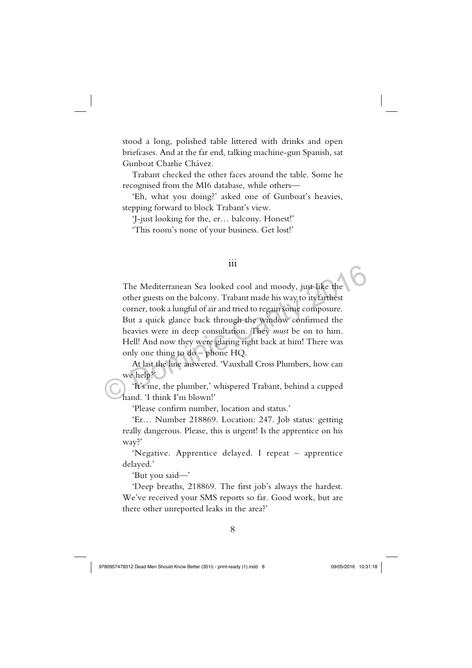stood a long, polished table littered with drinks and open briefcases. And at the far end, talking machine-gun Spanish, sat Gunboat Charlie Chávez.

Trabant checked the other faces around the table. Some he recognised from the MI6 database, while others—

'Eh, what you doing?' asked one of Gunboat's heavies, stepping forward to block Trabant's view.

'J-just looking for the, er… balcony. Honest!'

'This room's none of your business. Get lost!'

# iii

The Mediterranean Sea looked cool and moody, just like the other guests on the balcony. Trabant made his way to its farthest corner, took a lungful of air and tried to regain some composure. But a quick glance back through the window confirmed the heavies were in deep consultation. They *must* be on to him. Hell! And now they were glaring right back at him! There was only one thing to do – phone HQ. The Mediterranean Sea looked cool and moody, just like the<br>other guests on the balcony. Trabant made his way to its farthest<br>corner, took a lungful of air and tried to regain some composure.<br>But a quick glance back through

At last the line answered. 'Vauxhall Cross Plumbers, how can we help?'

'It's me, the plumber,' whispered Trabant, behind a cupped hand. 'I think I'm blown!'

'Please confirm number, location and status.'

'Er… Number 218869. Location: 247. Job status: getting really dangerous. Please, this is urgent! Is the apprentice on his way?'

'Negative. Apprentice delayed. I repeat – apprentice delayed.'

'But you said—'

'Deep breaths, 218869. The first job's always the hardest. We've received your SMS reports so far. Good work, but are there other unreported leaks in the area?'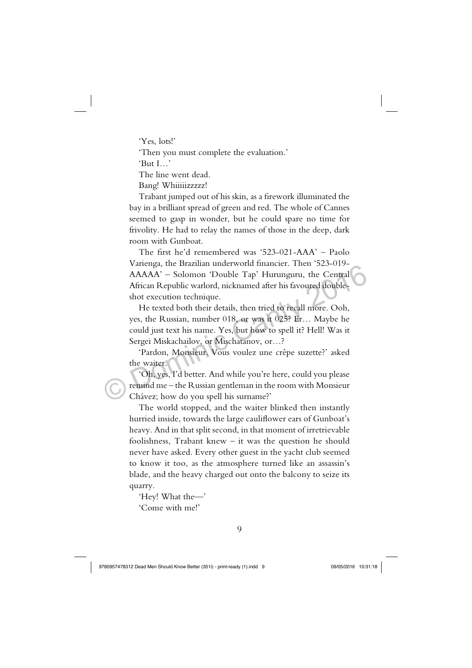'Yes, lots!'

'Then you must complete the evaluation.'

'But I…'

The line went dead.

Bang! Whiiiiizzzzz!

Trabant jumped out of his skin, as a firework illuminated the bay in a brilliant spread of green and red. The whole of Cannes seemed to gasp in wonder, but he could spare no time for frivolity. He had to relay the names of those in the deep, dark room with Gunboat.

The first he'd remembered was '523-021-AAA' - Paolo Varienga, the Brazilian underworld financier. Then '523-019-AAAAA' – Solomon 'Double Tap' Hurunguru, the Central African Republic warlord, nicknamed after his favoured doubleshot execution technique.

He texted both their details, then tried to recall more. Ooh, yes, the Russian, number 018, or was it 025? Er… Maybe he could just text his name. Yes, but how to spell it? Hell! Was it Sergei Miskachailov, or Mischatanov, or…? Varienga, the Brazinan underword miancer. Then 323-012-<br>AAAAA' – Solomon 'Double Tap' Hurunguru, the Central<br>African Republic warlord, nicknamed after his favoured double-<br>shot execution technique.<br>He texted both their det

'Pardon, Monsieur. Vous voulez une crêpe suzette?' asked the waiter.

'Oh, yes, I'd better. And while you're here, could you please remind me – the Russian gentleman in the room with Monsieur Chávez; how do you spell his surname?'

The world stopped, and the waiter blinked then instantly hurried inside, towards the large cauliflower ears of Gunboat's heavy. And in that split second, in that moment of irretrievable foolishness, Trabant knew – it was the question he should never have asked. Every other guest in the yacht club seemed to know it too, as the atmosphere turned like an assassin's blade, and the heavy charged out onto the balcony to seize its quarry.

'Hey! What the—' 'Come with me!'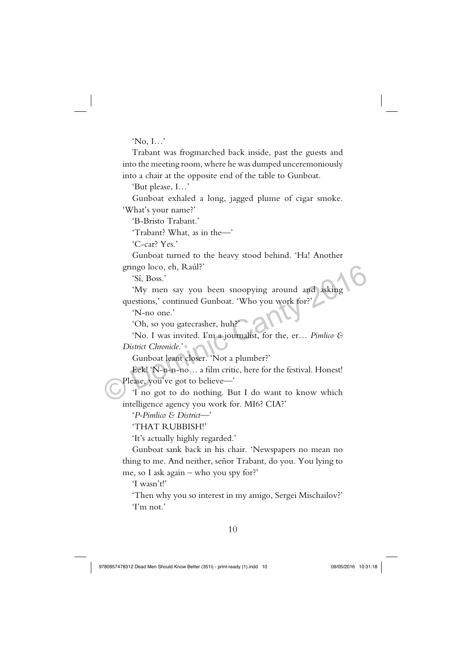'No, I…'

Trabant was frogmarched back inside, past the guests and into the meeting room, where he was dumped unceremoniously into a chair at the opposite end of the table to Gunboat.

'But please, I…'

Gunboat exhaled a long, jagged plume of cigar smoke. 'What's your name?'

'B-Bristo Trabant.'

'Trabant? What, as in the—'

'C-car? Yes.'

Gunboat turned to the heavy stood behind. 'Ha! Another gringo loco, eh, Raúl?'

'Sí, Boss.'

'My men say you been snoopying around and asking questions,' continued Gunboat. 'Who you work for?'

'N-no one.'

'Oh, so you gatecrasher, huh?'

'No. I was invited. I'm a journalist, for the, er… *Pimlico & District Chronicle*.'

Gunboat leant closer. 'Not a plumber?'

Eek! 'N-n-n-no... a film critic, here for the festival. Honest! Please, you've got to believe—' gringo loco, eh, Raúl?'<br>
"Sí, Boss.'<br>
"My men say you been snoopying around and asking<br>
questions,' continued Gunboat. 'Who you work for?'<br>
"N-no one.'<br>
"Oh, so you gatecrasher, huh?"<br>
"No. I was invited. I'm a journalist,

'I no got to do nothing. But I do want to know which intelligence agency you work for. MI6? CIA?'

'*P-Pimlico & District*—'

'THAT RUBBISH!'

'It's actually highly regarded.'

Gunboat sank back in his chair. 'Newspapers no mean no thing to me. And neither, señor Trabant, do you. You lying to me, so I ask again – who you spy for?'

'I wasn't!'

'Then why you so interest in my amigo, Sergei Mischailov?' 'I'm not.'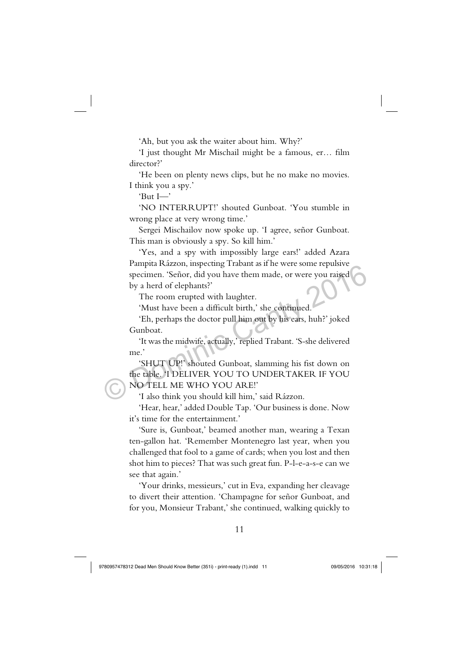'Ah, but you ask the waiter about him. Why?'

'I just thought Mr Mischail might be a famous, er... film director?'

'He been on plenty news clips, but he no make no movies. I think you a spy.'

'But I—'

'NO INTERRUPT!' shouted Gunboat. 'You stumble in wrong place at very wrong time.'

Sergei Mischailov now spoke up. 'I agree, señor Gunboat. This man is obviously a spy. So kill him.'

'Yes, and a spy with impossibly large ears!' added Azara Pampita Rázzon, inspecting Trabant as if he were some repulsive specimen. 'Señor, did you have them made, or were you raised by a herd of elephants?'

The room erupted with laughter.

'Must have been a difficult birth,' she continued.

'Eh, perhaps the doctor pull him out by his ears, huh?' joked Gunboat.

'It was the midwife, actually,' replied Trabant. 'S-she delivered me.'

'SHUT UP!' shouted Gunboat, slamming his fist down on the table. 'I DELIVER YOU TO UNDERTAKER IF YOU NO TELL ME WHO YOU ARE!' Famplea Razzon, inspecting Traoant as in te were some repulsive<br>specimen. 'Señor, did you have them made, or were you raised<br>by a herd of elephants?'<br>The room erupted with laughter.<br>'Must have been a difficult birth,' she

'I also think you should kill him,' said Rázzon.

'Hear, hear,' added Double Tap. 'Our business is done. Now it's time for the entertainment.'

'Sure is, Gunboat,' beamed another man, wearing a Texan ten-gallon hat. 'Remember Montenegro last year, when you challenged that fool to a game of cards; when you lost and then shot him to pieces? That was such great fun. P-l-e-a-s-e can we see that again.'

'Your drinks, messieurs,' cut in Eva, expanding her cleavage to divert their attention. 'Champagne for señor Gunboat, and for you, Monsieur Trabant,' she continued, walking quickly to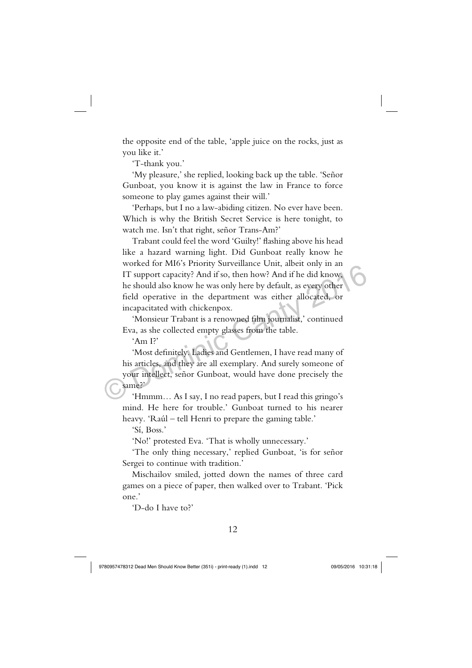the opposite end of the table, 'apple juice on the rocks, just as you like it.'

'T-thank you.'

'My pleasure,' she replied, looking back up the table. 'Señor Gunboat, you know it is against the law in France to force someone to play games against their will.'

'Perhaps, but I no a law-abiding citizen. No ever have been. Which is why the British Secret Service is here tonight, to watch me. Isn't that right, señor Trans-Am?'

Trabant could feel the word 'Guilty!' flashing above his head like a hazard warning light. Did Gunboat really know he worked for MI6's Priority Surveillance Unit, albeit only in an IT support capacity? And if so, then how? And if he did know, he should also know he was only here by default, as every other field operative in the department was either allocated, or incapacitated with chickenpox. Worked for Mio's Friority Sarvemance Omt, abett only in an<br>IT support capacity? And if so, then how? And if he did know,<br>he should also know he was only here by default, as every other<br>field operative in the department was

'Monsieur Trabant is a renowned film journalist,' continued Eva, as she collected empty glasses from the table.

'Am I?'

'Most definitely. Ladies and Gentlemen, I have read many of his articles, and they are all exemplary. And surely someone of your intellect, señor Gunboat, would have done precisely the same?'

'Hmmm… As I say, I no read papers, but I read this gringo's mind. He here for trouble.' Gunboat turned to his nearer heavy. 'Raúl – tell Henri to prepare the gaming table.'

'Sí, Boss.'

'No!' protested Eva. 'That is wholly unnecessary.'

'The only thing necessary,' replied Gunboat, 'is for señor Sergei to continue with tradition.'

Mischailov smiled, jotted down the names of three card games on a piece of paper, then walked over to Trabant. 'Pick one.'

'D-do I have to?'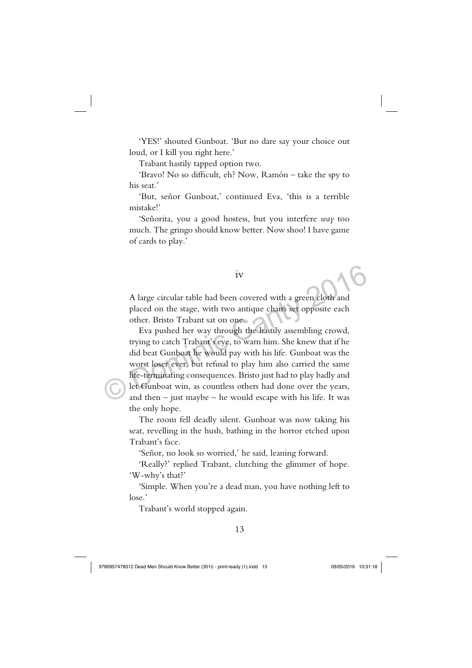'YES!' shouted Gunboat. 'But no dare say your choice out loud, or I kill you right here.'

Trabant hastily tapped option two.

'Bravo! No so difficult, eh? Now, Ramón - take the spy to his seat.'

'But, señor Gunboat,' continued Eva, 'this is a terrible mistake!'

'Señorita, you a good hostess, but you interfere *way* too much. The gringo should know better. Now shoo! I have game of cards to play.'

## iv

A large circular table had been covered with a green cloth and placed on the stage, with two antique chairs set opposite each other. Bristo Trabant sat on one.

Eva pushed her way through the hastily assembling crowd, trying to catch Trabant's eye, to warn him. She knew that if he did beat Gunboat he would pay with his life. Gunboat was the worst loser ever, but refusal to play him also carried the same life-terminating consequences. Bristo just had to play badly and let Gunboat win, as countless others had done over the years, and then  $-$  just maybe  $-$  he would escape with his life. It was the only hope. IV<br>
A large circular table had been covered with a green cloth and<br>
placed on the stage, with two antique chairs set opposite each<br>
other. Bristo Trabant sat on one.<br>
Eva pushed her way through the hastily assembling crowd

> The room fell deadly silent. Gunboat was now taking his seat, revelling in the hush, bathing in the horror etched upon Trabant's face.

'Señor, no look so worried,' he said, leaning forward.

'Really?' replied Trabant, clutching the glimmer of hope. 'W-why's that?'

'Simple. When you're a dead man, you have nothing left to lose.'

Trabant's world stopped again.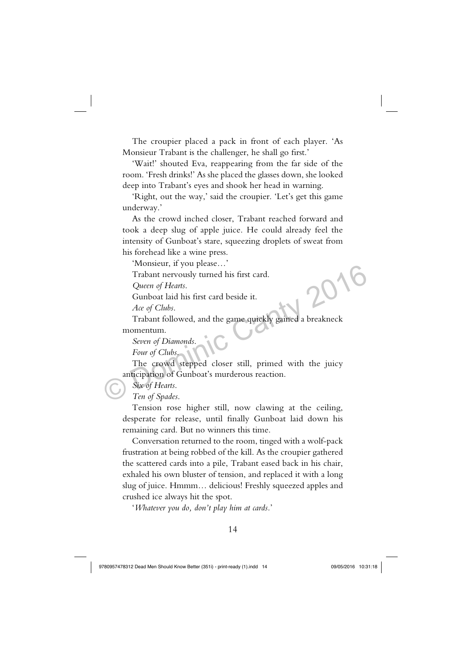The croupier placed a pack in front of each player. 'As Monsieur Trabant is the challenger, he shall go first.'

'Wait!' shouted Eva, reappearing from the far side of the room. 'Fresh drinks!' As she placed the glasses down, she looked deep into Trabant's eyes and shook her head in warning.

'Right, out the way,' said the croupier. 'Let's get this game underway.'

As the crowd inched closer, Trabant reached forward and took a deep slug of apple juice. He could already feel the intensity of Gunboat's stare, squeezing droplets of sweat from his forehead like a wine press.

'Monsieur, if you please…'

Trabant nervously turned his first card.

*Queen of Hearts*.

Gunboat laid his first card beside it.

*Ace of Clubs*.

Trabant followed, and the game quickly gained a breakneck momentum. Frabant nervously turned his first card.<br>
Queen of Hearts.<br>
Gunboat laid his first card beside it.<br>
Ace of Clubs.<br>
Trabant followed, and the game quickly gained a breakneck<br>
momentum.<br>
Seven of Diamonds.<br>
Four of Clubs.<br>
T

*Seven of Diamonds*.

*Four of Clubs*.

The crowd stepped closer still, primed with the juicy anticipation of Gunboat's murderous reaction.

*Six of Hearts*.

*Ten of Spades*.

Tension rose higher still, now clawing at the ceiling, desperate for release, until finally Gunboat laid down his remaining card. But no winners this time.

Conversation returned to the room, tinged with a wolf-pack frustration at being robbed of the kill. As the croupier gathered the scattered cards into a pile, Trabant eased back in his chair, exhaled his own bluster of tension, and replaced it with a long slug of juice. Hmmm… delicious! Freshly squeezed apples and crushed ice always hit the spot.

'*Whatever you do, don't play him at cards.*'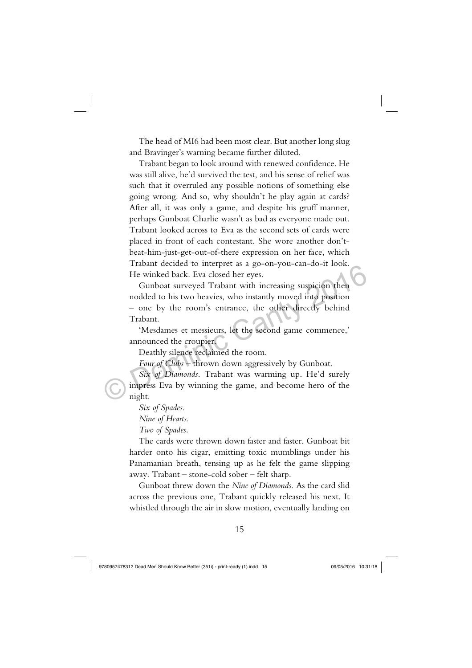The head of MI6 had been most clear. But another long slug and Bravinger's warning became further diluted.

Trabant began to look around with renewed confidence. He was still alive, he'd survived the test, and his sense of relief was such that it overruled any possible notions of something else going wrong. And so, why shouldn't he play again at cards? After all, it was only a game, and despite his gruff manner, perhaps Gunboat Charlie wasn't as bad as everyone made out. Trabant looked across to Eva as the second sets of cards were placed in front of each contestant. She wore another don'tbeat-him-just-get-out-of-there expression on her face, which Trabant decided to interpret as a go-on-you-can-do-it look. He winked back. Eva closed her eyes.

Gunboat surveyed Trabant with increasing suspicion then nodded to his two heavies, who instantly moved into position – one by the room's entrance, the other directly behind Trabant. Trabant decided to interpret as a go-on-you-can-do-h look.<br>
He winked back. Eva closed her eyes.<br>
Gunboat surveyed Trabant with increasing suspicion then<br>
nodded to his two heavies, who instantly moved into position<br>
– one

'Mesdames et messieurs, let the second game commence,' announced the croupier.

Deathly silence reclaimed the room.

*Four of Clubs* – thrown down aggressively by Gunboat.

*Six of Diamonds*. Trabant was warming up. He'd surely impress Eva by winning the game, and become hero of the night.

*Six of Spades*.

*Nine of Hearts*.

*Two of Spades*.

The cards were thrown down faster and faster. Gunboat bit harder onto his cigar, emitting toxic mumblings under his Panamanian breath, tensing up as he felt the game slipping away. Trabant – stone-cold sober – felt sharp.

Gunboat threw down the *Nine of Diamonds*. As the card slid across the previous one, Trabant quickly released his next. It whistled through the air in slow motion, eventually landing on